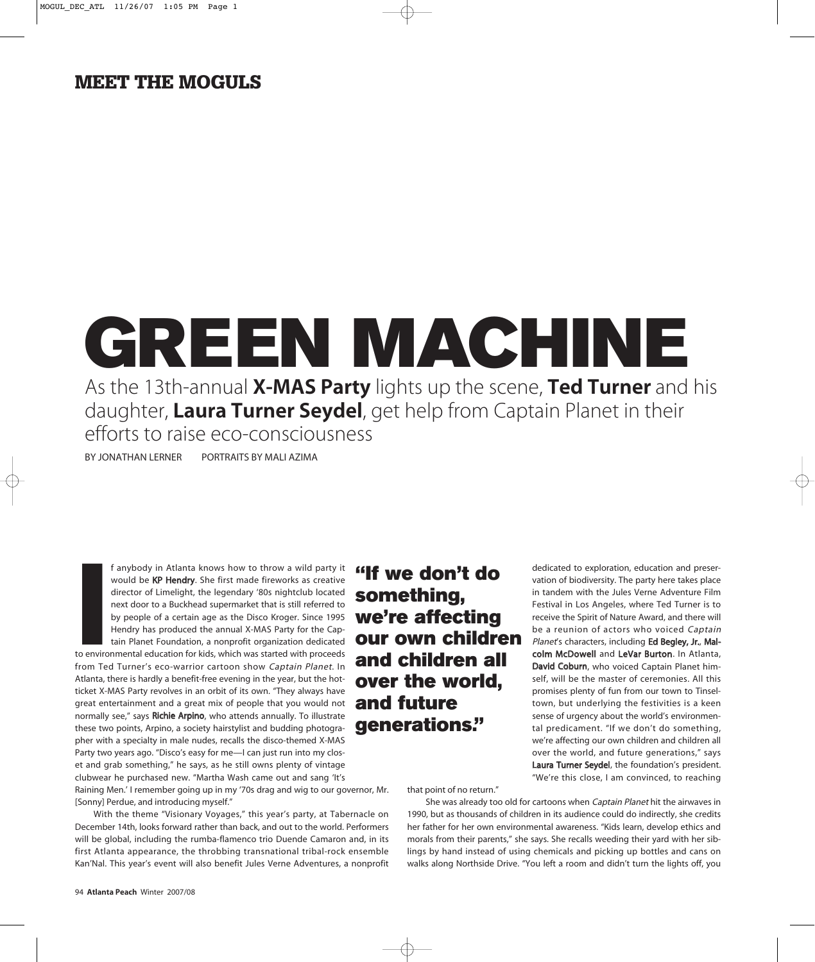## **MEET THE MOGULS**

## GREEN MACHINE As the 13th-annual **X-MAS Party** lights up the scene, **Ted Turner** and his daughter, **Laura Turner Seydel**, get help from Captain Planet in their efforts to raise eco-consciousness

BY JONATHAN LERNER PORTRAITS BY MALI AZIMA

f anybody in Atlanta knows how to throw a wild party it **fif we don't do** would be KP Hendry. She first made fireworks as creative director of Limelight, the legendary '80s nightclub located next door to a Buckhead supermarket that is still referred to by people of a certain age as the Disco Kroger. Since 1995 Hendry has produced the annual X-MAS Party for the Captain Planet Foundation, a nonprofit organization dedicated

**I**<br>Ito enviro<br>Irom Teo to environmental education for kids, which was started with proceeds from Ted Turner's eco-warrior cartoon show Captain Planet. In Atlanta, there is hardly a benefit-free evening in the year, but the hotticket X-MAS Party revolves in an orbit of its own. "They always have great entertainment and a great mix of people that you would not normally see," says Richie Arpino, who attends annually. To illustrate these two points, Arpino, a society hairstylist and budding photographer with a specialty in male nudes, recalls the disco-themed X-MAS Party two years ago. "Disco's easy for me—I can just run into my closet and grab something," he says, as he still owns plenty of vintage clubwear he purchased new. "Martha Wash came out and sang 'It's

Raining Men.' I remember going up in my '70s drag and wig to our governor, Mr. [Sonny] Perdue, and introducing myself."

With the theme "Visionary Voyages," this year's party, at Tabernacle on December 14th, looks forward rather than back, and out to the world. Performers will be global, including the rumba-flamenco trio Duende Camaron and, in its first Atlanta appearance, the throbbing transnational tribal-rock ensemble Kan'Nal. This year's event will also benefit Jules Verne Adventures, a nonprofit

something, we're affecting our own children and children all over the world, and future generations."

dedicated to exploration, education and preservation of biodiversity. The party here takes place in tandem with the Jules Verne Adventure Film Festival in Los Angeles, where Ted Turner is to receive the Spirit of Nature Award, and there will be a reunion of actors who voiced Captain Planet's characters, including Ed Begley, Jr., Malcolm McDowell and LeVar Burton. In Atlanta, David Coburn, who voiced Captain Planet himself, will be the master of ceremonies. All this promises plenty of fun from our town to Tinseltown, but underlying the festivities is a keen sense of urgency about the world's environmental predicament. "If we don't do something, we're affecting our own children and children all over the world, and future generations," says Laura Turner Seydel, the foundation's president. "We're this close, I am convinced, to reaching

that point of no return."

She was already too old for cartoons when Captain Planet hit the airwaves in 1990, but as thousands of children in its audience could do indirectly, she credits her father for her own environmental awareness. "Kids learn, develop ethics and morals from their parents," she says. She recalls weeding their yard with her siblings by hand instead of using chemicals and picking up bottles and cans on walks along Northside Drive. "You left a room and didn't turn the lights off, you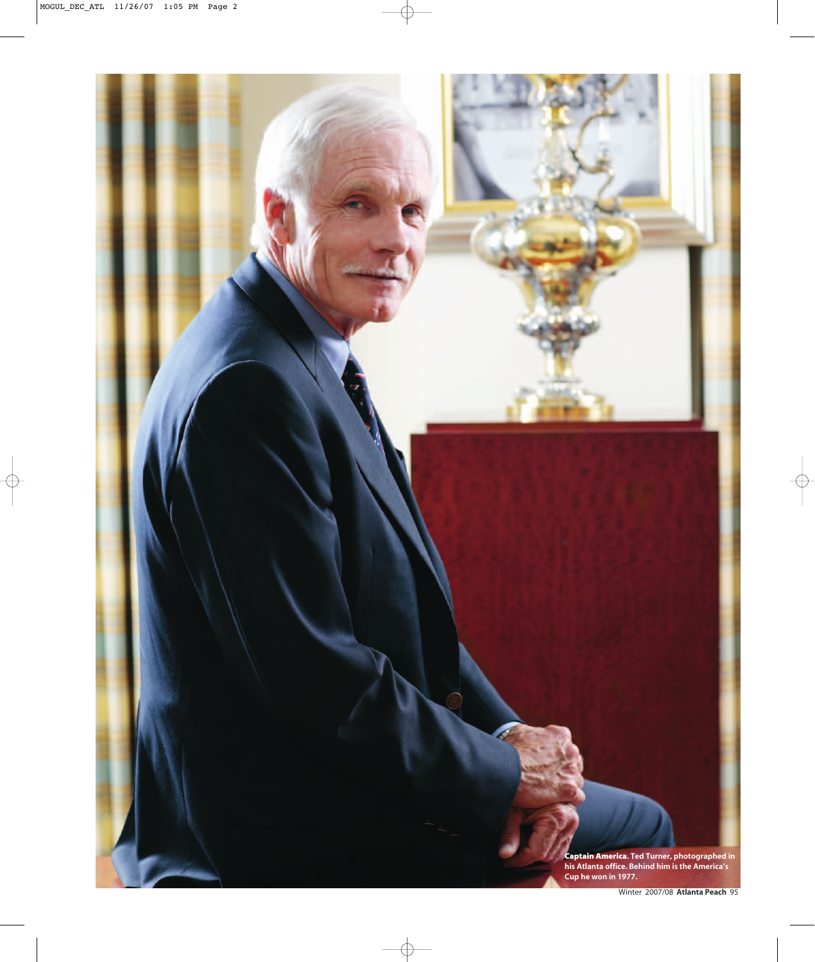Captain America**. Ted Turner, photographed in his Atlanta office. Behind him is the America's Cup he won in 1977.**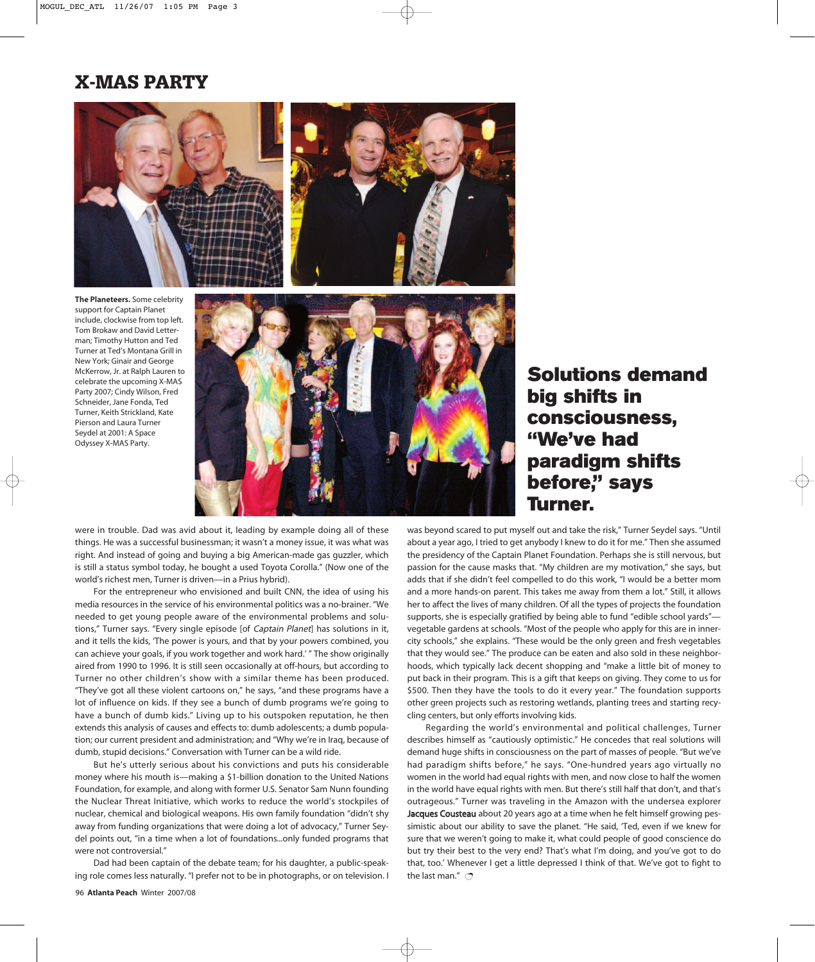## X-MAS PARTY





**The Planeteers.** Some celebrity support for Captain Planet include, clockwise from top left. Tom Brokaw and David Letterman; Timothy Hutton and Ted Turner at Ted's Montana Grill in New York; Ginair and George McKerrow, Jr. at Ralph Lauren to celebrate the upcoming X-MAS Party 2007; Cindy Wilson, Fred Schneider, Jane Fonda, Ted Turner, Keith Strickland, Kate Pierson and Laura Turner Seydel at 2001: A Space Odyssey X-MAS Party.



were in trouble. Dad was avid about it, leading by example doing all of these things. He was a successful businessman; it wasn't a money issue, it was what was right. And instead of going and buying a big American-made gas guzzler, which is still a status symbol today, he bought a used Toyota Corolla." (Now one of the world's richest men, Turner is driven—in a Prius hybrid).

For the entrepreneur who envisioned and built CNN, the idea of using his media resources in the service of his environmental politics was a no-brainer. "We needed to get young people aware of the environmental problems and solutions," Turner says. "Every single episode [of Captain Planet] has solutions in it, and it tells the kids, 'The power is yours, and that by your powers combined, you can achieve your goals, if you work together and work hard.' " The show originally aired from 1990 to 1996. It is still seen occasionally at off-hours, but according to Turner no other children's show with a similar theme has been produced. "They've got all these violent cartoons on," he says, "and these programs have a lot of influence on kids. If they see a bunch of dumb programs we're going to have a bunch of dumb kids." Living up to his outspoken reputation, he then extends this analysis of causes and effects to: dumb adolescents; a dumb population; our current president and administration; and "Why we're in Iraq, because of dumb, stupid decisions." Conversation with Turner can be a wild ride.

But he's utterly serious about his convictions and puts his considerable money where his mouth is—making a \$1-billion donation to the United Nations Foundation, for example, and along with former U.S. Senator Sam Nunn founding the Nuclear Threat Initiative, which works to reduce the world's stockpiles of nuclear, chemical and biological weapons. His own family foundation "didn't shy away from funding organizations that were doing a lot of advocacy," Turner Seydel points out, "in a time when a lot of foundations...only funded programs that were not controversial."

Dad had been captain of the debate team; for his daughter, a public-speaking role comes less naturally. "I prefer not to be in photographs, or on television. I

Solutions demand big shifts in consciousness, "We've had paradigm shifts before," says Turner.

was beyond scared to put myself out and take the risk," Turner Seydel says. "Until about a year ago, I tried to get anybody I knew to do it for me." Then she assumed the presidency of the Captain Planet Foundation. Perhaps she is still nervous, but passion for the cause masks that. "My children are my motivation," she says, but adds that if she didn't feel compelled to do this work, "I would be a better mom and a more hands-on parent. This takes me away from them a lot." Still, it allows her to affect the lives of many children. Of all the types of projects the foundation supports, she is especially gratified by being able to fund "edible school yards" vegetable gardens at schools. "Most of the people who apply for this are in innercity schools," she explains. "These would be the only green and fresh vegetables that they would see." The produce can be eaten and also sold in these neighborhoods, which typically lack decent shopping and "make a little bit of money to put back in their program. This is a gift that keeps on giving. They come to us for \$500. Then they have the tools to do it every year." The foundation supports other green projects such as restoring wetlands, planting trees and starting recycling centers, but only efforts involving kids.

Regarding the world's environmental and political challenges, Turner describes himself as "cautiously optimistic." He concedes that real solutions will demand huge shifts in consciousness on the part of masses of people. "But we've had paradigm shifts before," he says. "One-hundred years ago virtually no women in the world had equal rights with men, and now close to half the women in the world have equal rights with men. But there's still half that don't, and that's outrageous." Turner was traveling in the Amazon with the undersea explorer Jacques Cousteau about 20 years ago at a time when he felt himself growing pessimistic about our ability to save the planet. "He said, 'Ted, even if we knew for sure that we weren't going to make it, what could people of good conscience do but try their best to the very end? That's what I'm doing, and you've got to do that, too.' Whenever I get a little depressed I think of that. We've got to fight to the last man."  $\bigcirc$